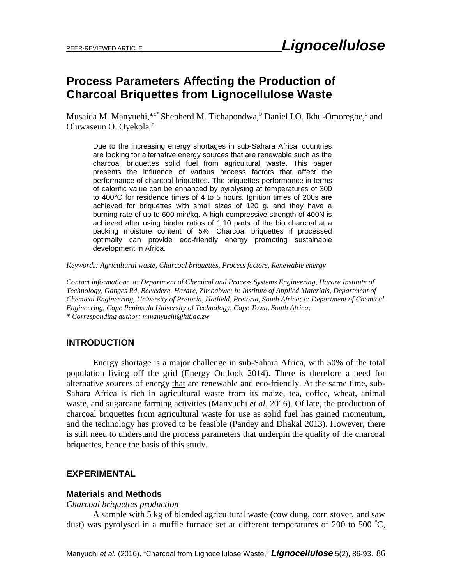## **Process Parameters Affecting the Production of Charcoal Briquettes from Lignocellulose Waste**

Musaida M. Manyuchi,<sup>a,c\*</sup> Shepherd M. Tichapondwa,<sup>b</sup> Daniel I.O. Ikhu-Omoregbe,<sup>c</sup> and Oluwaseun O. Oyekola<sup>c</sup>

Due to the increasing energy shortages in sub-Sahara Africa, countries are looking for alternative energy sources that are renewable such as the charcoal briquettes solid fuel from agricultural waste. This paper presents the influence of various process factors that affect the performance of charcoal briquettes. The briquettes performance in terms of calorific value can be enhanced by pyrolysing at temperatures of 300 to 400°C for residence times of 4 to 5 hours. Ignition times of 200s are achieved for briquettes with small sizes of 120 g, and they have a burning rate of up to 600 min/kg. A high compressive strength of 400N is achieved after using binder ratios of 1:10 parts of the bio charcoal at a packing moisture content of 5%. Charcoal briquettes if processed optimally can provide eco-friendly energy promoting sustainable development in Africa.

*Keywords: Agricultural waste, Charcoal briquettes, Process factors, Renewable energy*

*Contact information: a: Department of Chemical and Process Systems Engineering, Harare Institute of Technology, Ganges Rd, Belvedere, Harare, Zimbabwe; b: Institute of Applied Materials, Department of Chemical Engineering, University of Pretoria, Hatfield, Pretoria, South Africa; c: Department of Chemical Engineering, Cape Peninsula University of Technology, Cape Town, South Africa; \* Corresponding author: [mmanyuchi@hit.ac.zw](mailto:mmanyuchi@hit.ac.zw)*

## **INTRODUCTION**

Energy shortage is a major challenge in sub-Sahara Africa, with 50% of the total population living off the grid (Energy Outlook 2014). There is therefore a need for alternative sources of energy that are renewable and eco-friendly. At the same time, sub-Sahara Africa is rich in agricultural waste from its maize, tea, coffee, wheat, animal waste, and sugarcane farming activities (Manyuchi *et al.* 2016). Of late, the production of charcoal briquettes from agricultural waste for use as solid fuel has gained momentum, and the technology has proved to be feasible (Pandey and Dhakal 2013). However, there is still need to understand the process parameters that underpin the quality of the charcoal briquettes, hence the basis of this study.

## **EXPERIMENTAL**

#### **Materials and Methods**

*Charcoal briquettes production*

A sample with 5 kg of blended agricultural waste (cow dung, corn stover, and saw dust) was pyrolysed in a muffle furnace set at different temperatures of 200 to 500 °C,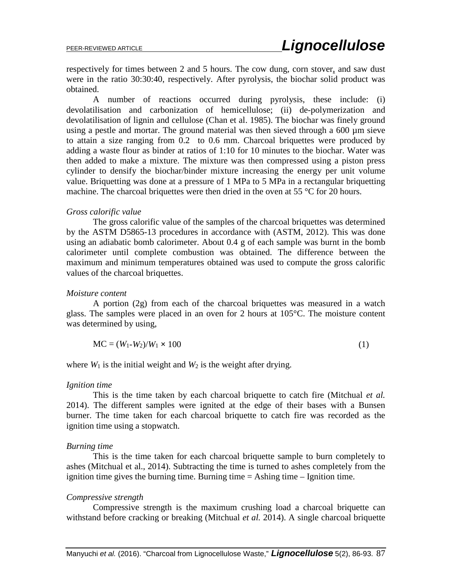respectively for times between 2 and 5 hours. The cow dung, corn stover, and saw dust were in the ratio 30:30:40, respectively. After pyrolysis, the biochar solid product was obtained.

A number of reactions occurred during pyrolysis, these include: (i) devolatilisation and carbonization of hemicellulose; (ii) de-polymerization and devolatilisation of lignin and cellulose (Chan et al. 1985). The biochar was finely ground using a pestle and mortar. The ground material was then sieved through a 600 µm sieve to attain a size ranging from 0.2 to 0.6 mm. Charcoal briquettes were produced by adding a waste flour as binder at ratios of 1:10 for 10 minutes to the biochar. Water was then added to make a mixture. The mixture was then compressed using a piston press cylinder to densify the biochar/binder mixture increasing the energy per unit volume value. Briquetting was done at a pressure of 1 MPa to 5 MPa in a rectangular briquetting machine. The charcoal briquettes were then dried in the oven at 55 °C for 20 hours.

#### *Gross calorific value*

The gross calorific value of the samples of the charcoal briquettes was determined by the ASTM D5865-13 procedures in accordance with (ASTM, 2012). This was done using an adiabatic bomb calorimeter. About 0.4 g of each sample was burnt in the bomb calorimeter until complete combustion was obtained. The difference between the maximum and minimum temperatures obtained was used to compute the gross calorific values of the charcoal briquettes.

#### *Moisture content*

A portion (2g) from each of the charcoal briquettes was measured in a watch glass. The samples were placed in an oven for 2 hours at 105°C. The moisture content was determined by using,

$$
MC = (W_1-W_2)/W_1 \times 100
$$
 (1)

where  $W_1$  is the initial weight and  $W_2$  is the weight after drying.

#### *Ignition time*

This is the time taken by each charcoal briquette to catch fire (Mitchual *et al.* 2014). The different samples were ignited at the edge of their bases with a Bunsen burner. The time taken for each charcoal briquette to catch fire was recorded as the ignition time using a stopwatch.

#### *Burning time*

This is the time taken for each charcoal briquette sample to burn completely to ashes (Mitchual et al., 2014). Subtracting the time is turned to ashes completely from the ignition time gives the burning time. Burning time  $=$  Ashing time  $-$  Ignition time.

#### *Compressive strength*

Compressive strength is the maximum crushing load a charcoal briquette can withstand before cracking or breaking (Mitchual *et al.* 2014). A single charcoal briquette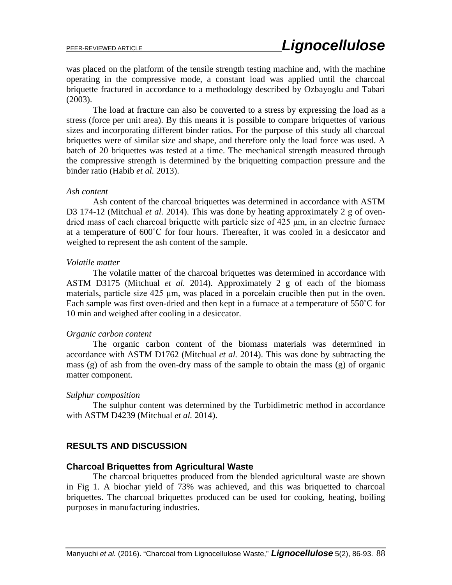was placed on the platform of the tensile strength testing machine and, with the machine operating in the compressive mode, a constant load was applied until the charcoal briquette fractured in accordance to a methodology described by Ozbayoglu and Tabari (2003).

The load at fracture can also be converted to a stress by expressing the load as a stress (force per unit area). By this means it is possible to compare briquettes of various sizes and incorporating different binder ratios. For the purpose of this study all charcoal briquettes were of similar size and shape, and therefore only the load force was used. A batch of 20 briquettes was tested at a time. The mechanical strength measured through the compressive strength is determined by the briquetting compaction pressure and the binder ratio (Habib *et al.* 2013).

#### *Ash content*

Ash content of the charcoal briquettes was determined in accordance with ASTM D3 174-12 (Mitchual *et al.* 2014). This was done by heating approximately 2 g of ovendried mass of each charcoal briquette with particle size of 425 μm, in an electric furnace at a temperature of 600˚C for four hours. Thereafter, it was cooled in a desiccator and weighed to represent the ash content of the sample.

#### *Volatile matter*

The volatile matter of the charcoal briquettes was determined in accordance with ASTM D3175 (Mitchual *et al.* 2014). Approximately 2 g of each of the biomass materials, particle size 425 μm, was placed in a porcelain crucible then put in the oven. Each sample was first oven-dried and then kept in a furnace at a temperature of 550˚C for 10 min and weighed after cooling in a desiccator.

#### *Organic carbon content*

The organic carbon content of the biomass materials was determined in accordance with ASTM D1762 (Mitchual *et al.* 2014). This was done by subtracting the mass (g) of ash from the oven-dry mass of the sample to obtain the mass (g) of organic matter component.

#### *Sulphur composition*

The sulphur content was determined by the Turbidimetric method in accordance with ASTM D4239 (Mitchual *et al.* 2014).

#### **RESULTS AND DISCUSSION**

#### **Charcoal Briquettes from Agricultural Waste**

The charcoal briquettes produced from the blended agricultural waste are shown in Fig 1. A biochar yield of 73% was achieved, and this was briquetted to charcoal briquettes. The charcoal briquettes produced can be used for cooking, heating, boiling purposes in manufacturing industries.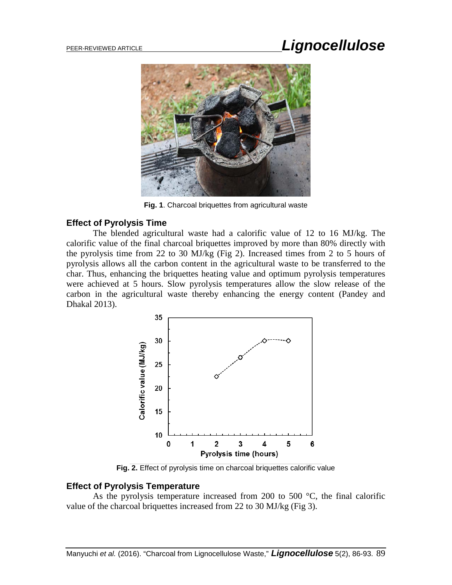## PEER-REVIEWED ARTICLE *Lignocellulose*



**Fig. 1**. Charcoal briquettes from agricultural waste

## **Effect of Pyrolysis Time**

The blended agricultural waste had a calorific value of 12 to 16 MJ/kg. The calorific value of the final charcoal briquettes improved by more than 80% directly with the pyrolysis time from 22 to 30 MJ/kg (Fig 2). Increased times from 2 to 5 hours of pyrolysis allows all the carbon content in the agricultural waste to be transferred to the char. Thus, enhancing the briquettes heating value and optimum pyrolysis temperatures were achieved at 5 hours. Slow pyrolysis temperatures allow the slow release of the carbon in the agricultural waste thereby enhancing the energy content (Pandey and Dhakal 2013).



**Fig. 2.** Effect of pyrolysis time on charcoal briquettes calorific value

## **Effect of Pyrolysis Temperature**

As the pyrolysis temperature increased from 200 to 500 °C, the final calorific value of the charcoal briquettes increased from 22 to 30 MJ/kg (Fig 3).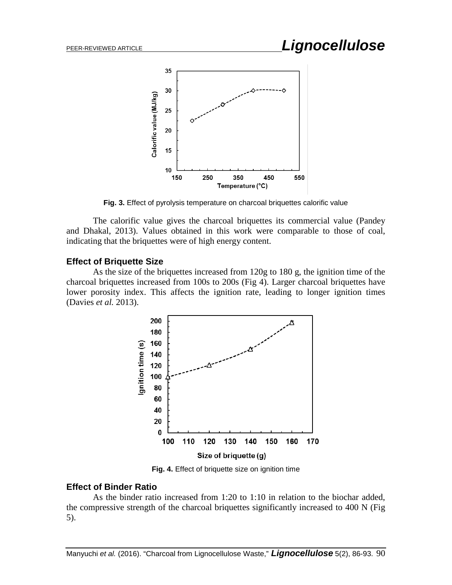

**Fig. 3.** Effect of pyrolysis temperature on charcoal briquettes calorific value

The calorific value gives the charcoal briquettes its commercial value (Pandey and Dhakal, 2013). Values obtained in this work were comparable to those of coal, indicating that the briquettes were of high energy content.

## **Effect of Briquette Size**

As the size of the briquettes increased from 120g to 180 g, the ignition time of the charcoal briquettes increased from 100s to 200s (Fig 4). Larger charcoal briquettes have lower porosity index. This affects the ignition rate, leading to longer ignition times (Davies *et al.* 2013).



**Fig. 4.** Effect of briquette size on ignition time

## **Effect of Binder Ratio**

As the binder ratio increased from 1:20 to 1:10 in relation to the biochar added, the compressive strength of the charcoal briquettes significantly increased to 400 N (Fig 5).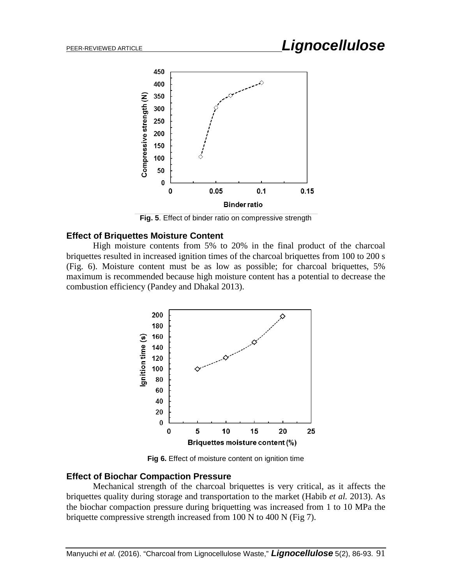# PEER-REVIEWED ARTICLE *Lignocellulose*



**Fig. 5**. Effect of binder ratio on compressive strength

### **Effect of Briquettes Moisture Content**

High moisture contents from 5% to 20% in the final product of the charcoal briquettes resulted in increased ignition times of the charcoal briquettes from 100 to 200 s (Fig. 6). Moisture content must be as low as possible; for charcoal briquettes, 5% maximum is recommended because high moisture content has a potential to decrease the combustion efficiency (Pandey and Dhakal 2013).



**Fig 6.** Effect of moisture content on ignition time

#### **Effect of Biochar Compaction Pressure**

Mechanical strength of the charcoal briquettes is very critical, as it affects the briquettes quality during storage and transportation to the market (Habib *et al.* 2013). As the biochar compaction pressure during briquetting was increased from 1 to 10 MPa the briquette compressive strength increased from 100 N to 400 N (Fig 7).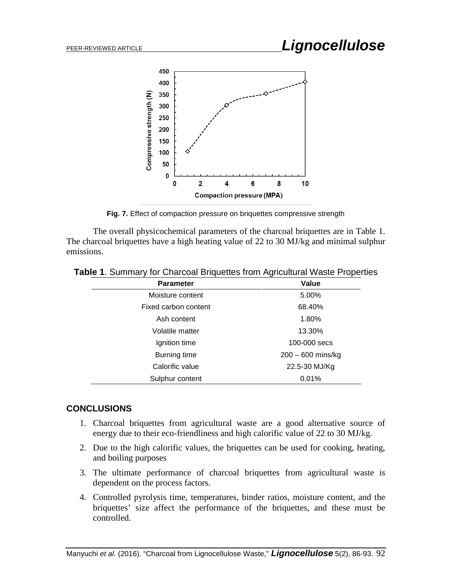

**Fig. 7.** Effect of compaction pressure on briquettes compressive strength

The overall physicochemical parameters of the charcoal briquettes are in Table 1. The charcoal briquettes have a high heating value of 22 to 30 MJ/kg and minimal sulphur emissions.

| <b>Parameter</b>     | Value               |
|----------------------|---------------------|
| Moisture content     | 5.00%               |
| Fixed carbon content | 68.40%              |
| Ash content          | 1.80%               |
| Volatile matter      | 13.30%              |
| Ignition time        | 100-000 secs        |
| Burning time         | $200 - 600$ mins/kg |
| Calorific value      | 22.5-30 MJ/Kg       |
| Sulphur content      | 0.01%               |

**Table 1**. Summary for Charcoal Briquettes from Agricultural Waste Properties

## **CONCLUSIONS**

- 1. Charcoal briquettes from agricultural waste are a good alternative source of energy due to their eco-friendliness and high calorific value of 22 to 30 MJ/kg.
- 2. Due to the high calorific values, the briquettes can be used for cooking, heating, and boiling purposes
- 3. The ultimate performance of charcoal briquettes from agricultural waste is dependent on the process factors.
- 4. Controlled pyrolysis time, temperatures, binder ratios, moisture content, and the briquettes' size affect the performance of the briquettes, and these must be controlled.